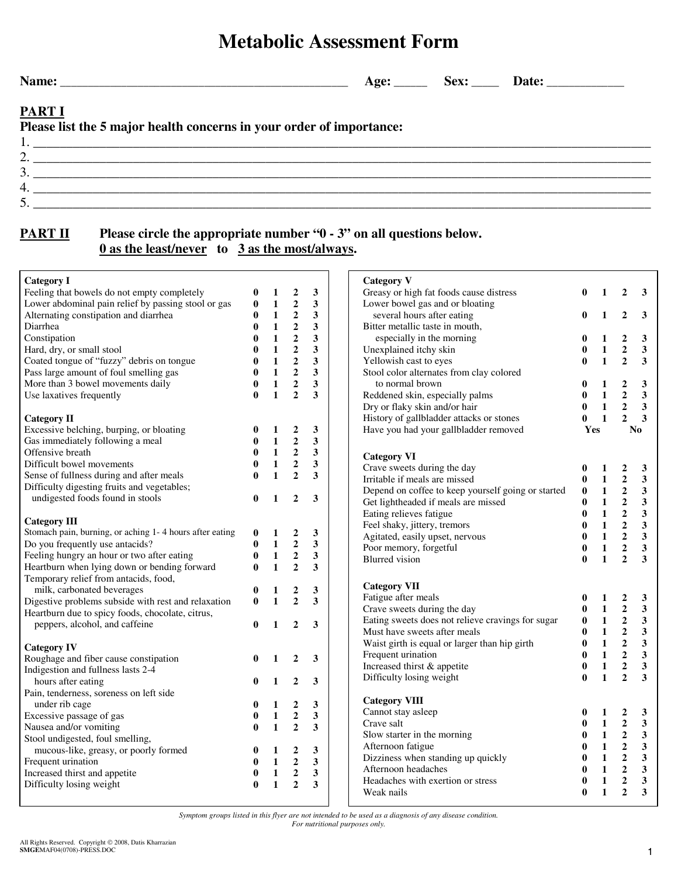## **Metabolic Assessment Form**

3.  $\frac{1}{2}$  $4. \;$  $5.$ 

**Name: \_\_\_\_\_\_\_\_\_\_\_\_\_\_\_\_\_\_\_\_\_\_\_\_\_\_\_\_\_\_\_\_\_\_\_\_\_\_\_\_\_\_\_\_\_\_\_\_\_\_\_\_ Age: \_\_\_\_\_\_ Sex: \_\_\_\_\_ Date: \_\_\_\_\_\_\_\_\_\_\_\_\_\_** 

## **PART I**

**Please list the 5 major health concerns in your order of importance:** 

2. \_\_\_\_\_\_\_\_\_\_\_\_\_\_\_\_\_\_\_\_\_\_\_\_\_\_\_\_\_\_\_\_\_\_\_\_\_\_\_\_\_\_\_\_\_\_\_\_\_\_\_\_\_\_\_\_\_\_\_\_\_\_\_\_\_\_\_\_\_\_\_\_\_\_\_\_\_\_\_\_\_\_\_\_\_\_\_\_\_\_\_\_\_

1. \_\_\_\_\_\_\_\_\_\_\_\_\_\_\_\_\_\_\_\_\_\_\_\_\_\_\_\_\_\_\_\_\_\_\_\_\_\_\_\_\_\_\_\_\_\_\_\_\_\_\_\_\_\_\_\_\_\_\_\_\_\_\_\_\_\_\_\_\_\_\_\_\_\_\_\_\_\_\_\_\_\_\_\_\_\_\_\_\_\_\_\_\_

## **PART II** Please circle the appropriate number "0 - 3" on all questions below. **0 as the least/never to 3 as the most/always.**

| <b>Category I</b>                                         |                   |                              |                                  |        | <b>Category V</b>                                  |              |     |
|-----------------------------------------------------------|-------------------|------------------------------|----------------------------------|--------|----------------------------------------------------|--------------|-----|
| Feeling that bowels do not empty completely               | 0                 | $\mathbf{1}$                 | $\overline{2}$                   | 3      | Greasy or high fat foods cause distress            | $\mathbf{0}$ |     |
| Lower abdominal pain relief by passing stool or gas       | $\bf{0}$          | $\mathbf{1}$                 | $\overline{2}$                   | 3      | Lower bowel gas and or bloating                    |              |     |
| Alternating constipation and diarrhea                     | 0                 | $\mathbf{1}$                 | $\boldsymbol{2}$                 | 3      | several hours after eating                         | 0            |     |
| Diarrhea                                                  | $\bf{0}$          | $\mathbf{1}$                 | $\overline{\mathbf{2}}$          | 3      | Bitter metallic taste in mouth,                    |              |     |
| Constipation                                              | 0                 | $\mathbf{1}$                 | $\mathbf{2}$                     | 3      | especially in the morning                          | $\bf{0}$     |     |
| Hard, dry, or small stool                                 | $\bf{0}$          | $\mathbf{1}$                 | $\boldsymbol{2}$                 | 3      | Unexplained itchy skin                             | $\bf{0}$     |     |
| Coated tongue of "fuzzy" debris on tongue                 | $\bf{0}$          | $\mathbf{1}$                 | $\overline{2}$                   | 3      | Yellowish cast to eyes                             | $\bf{0}$     |     |
| Pass large amount of foul smelling gas                    | $\bf{0}$          | $\mathbf{1}$                 | $\overline{2}$                   | 3      | Stool color alternates from clay colored           |              |     |
| More than 3 bowel movements daily                         | $\bf{0}$          | $\mathbf{1}$                 | $\overline{2}$                   | 3      | to normal brown                                    | 0            |     |
| Use laxatives frequently                                  | $\mathbf{0}$      | $\mathbf{1}$                 | $\overline{2}$                   | 3      | Reddened skin, especially palms                    | $\bf{0}$     |     |
|                                                           |                   |                              |                                  |        | Dry or flaky skin and/or hair                      | $\bf{0}$     |     |
| <b>Category II</b>                                        |                   |                              |                                  |        | History of gallbladder attacks or stones           | $\bf{0}$     |     |
| Excessive belching, burping, or bloating                  | 0                 | $\mathbf{1}$                 | $\boldsymbol{2}$                 | 3      | Have you had your gallbladder removed              |              | Yes |
| Gas immediately following a meal                          | $\bf{0}$          | $\mathbf{1}$                 | $\overline{2}$                   | 3      |                                                    |              |     |
| Offensive breath                                          | $\bf{0}$          | $\mathbf{1}$                 | $\boldsymbol{2}$                 | 3      | <b>Category VI</b>                                 |              |     |
| Difficult bowel movements                                 | $\bf{0}$          | $\mathbf{1}$                 | $\boldsymbol{2}$                 | 3      | Crave sweets during the day                        | $\bf{0}$     |     |
| Sense of fullness during and after meals                  | $\bf{0}$          | $\mathbf{1}$                 | $\overline{2}$                   | 3      | Irritable if meals are missed                      | $\bf{0}$     |     |
| Difficulty digesting fruits and vegetables;               |                   |                              |                                  |        | Depend on coffee to keep yourself going or started | $\bf{0}$     |     |
| undigested foods found in stools                          | $\bf{0}$          | $\mathbf{1}$                 | $\overline{2}$                   | 3      | Get lightheaded if meals are missed                | $\mathbf{0}$ |     |
|                                                           |                   |                              |                                  |        | Eating relieves fatigue                            | $\bf{0}$     |     |
| <b>Category III</b>                                       |                   |                              |                                  |        | Feel shaky, jittery, tremors                       | $\mathbf{0}$ |     |
| Stomach pain, burning, or aching 1-4 hours after eating   | $\bf{0}$          | $\mathbf{1}$                 | $\boldsymbol{2}$                 | 3      | Agitated, easily upset, nervous                    | $\bf{0}$     |     |
| Do you frequently use antacids?                           | $\bf{0}$          | $\mathbf{1}$                 | $\overline{2}$                   | 3      | Poor memory, forgetful                             | $\bf{0}$     |     |
| Feeling hungry an hour or two after eating                | $\bf{0}$          | $\mathbf{1}$                 | $\overline{2}$                   | 3      | <b>Blurred</b> vision                              | $\mathbf{0}$ |     |
| Heartburn when lying down or bending forward              | $\bf{0}$          | $\mathbf{1}$                 | $\overline{2}$                   | 3      |                                                    |              |     |
| Temporary relief from antacids, food,                     |                   |                              |                                  |        |                                                    |              |     |
| milk, carbonated beverages                                | $\bf{0}$          | 1                            | 2                                | 3      | <b>Category VII</b>                                |              |     |
| Digestive problems subside with rest and relaxation       | $\bf{0}$          | $\mathbf{1}$                 | $\overline{2}$                   | 3      | Fatigue after meals                                | $\bf{0}$     |     |
| Heartburn due to spicy foods, chocolate, citrus,          |                   |                              |                                  |        | Crave sweets during the day                        | $\bf{0}$     |     |
| peppers, alcohol, and caffeine                            | 0                 | 1                            | $\overline{2}$                   | 3      | Eating sweets does not relieve cravings for sugar  | $\bf{0}$     |     |
|                                                           |                   |                              |                                  |        | Must have sweets after meals                       | $\bf{0}$     |     |
| <b>Category IV</b>                                        |                   |                              |                                  |        | Waist girth is equal or larger than hip girth      | $\bf{0}$     |     |
| Roughage and fiber cause constipation                     |                   | 1                            | $\overline{2}$                   | 3      | Frequent urination                                 | $\bf{0}$     |     |
| Indigestion and fullness lasts 2-4                        |                   |                              |                                  |        | Increased thirst & appetite                        | $\bf{0}$     |     |
| hours after eating                                        |                   | 1                            | $\mathbf{2}$                     | 3      | Difficulty losing weight                           | $\mathbf{0}$ |     |
| Pain, tenderness, soreness on left side                   |                   |                              |                                  |        |                                                    |              |     |
| under rib cage                                            | 0                 | 1                            | 2                                | 3      | <b>Category VIII</b>                               |              |     |
| Excessive passage of gas                                  | 0                 | $\mathbf{1}$                 | $\overline{\mathbf{2}}$          | 3      | Cannot stay asleep                                 | 0            |     |
| Nausea and/or vomiting                                    |                   | $\mathbf{1}$                 | $\overline{2}$                   | 3      | Crave salt                                         | $\bf{0}$     |     |
| Stool undigested, foul smelling,                          |                   |                              |                                  |        | Slow starter in the morning                        | $\bf{0}$     |     |
|                                                           | $\bf{0}$          | 1                            | $\boldsymbol{2}$                 | 3      | Afternoon fatigue                                  | $\bf{0}$     |     |
|                                                           |                   | $\mathbf{1}$                 | $\overline{2}$                   | 3      | Dizziness when standing up quickly                 | $\bf{0}$     |     |
| mucous-like, greasy, or poorly formed                     |                   |                              |                                  |        | Afternoon headaches                                | $\bf{0}$     |     |
| Frequent urination                                        | $\bf{0}$          |                              |                                  |        |                                                    |              |     |
| Increased thirst and appetite<br>Difficulty losing weight | 0<br>$\mathbf{0}$ | $\mathbf{1}$<br>$\mathbf{1}$ | $\overline{2}$<br>$\overline{2}$ | 3<br>3 | Headaches with exertion or stress                  | $\bf{0}$     |     |

*Symptom groups listed in this flyer are not intended to be used as a diagnosis of any disease condition.* 

*For nutritional purposes only.*